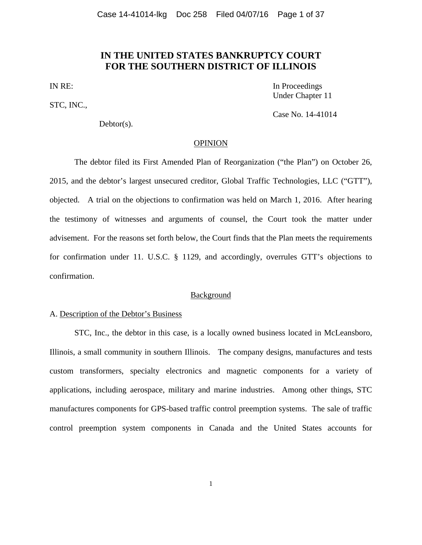# **IN THE UNITED STATES BANKRUPTCY COURT FOR THE SOUTHERN DISTRICT OF ILLINOIS**

STC, INC.,

Debtor(s).

IN RE: In Proceedings Under Chapter 11

Case No. 14-41014

#### OPINION

The debtor filed its First Amended Plan of Reorganization ("the Plan") on October 26, 2015, and the debtor's largest unsecured creditor, Global Traffic Technologies, LLC ("GTT"), objected. A trial on the objections to confirmation was held on March 1, 2016. After hearing the testimony of witnesses and arguments of counsel, the Court took the matter under advisement. For the reasons set forth below, the Court finds that the Plan meets the requirements for confirmation under 11. U.S.C. § 1129, and accordingly, overrules GTT's objections to confirmation.

## **Background**

#### A. Description of the Debtor's Business

STC, Inc., the debtor in this case, is a locally owned business located in McLeansboro, Illinois, a small community in southern Illinois. The company designs, manufactures and tests custom transformers, specialty electronics and magnetic components for a variety of applications, including aerospace, military and marine industries. Among other things, STC manufactures components for GPS-based traffic control preemption systems. The sale of traffic control preemption system components in Canada and the United States accounts for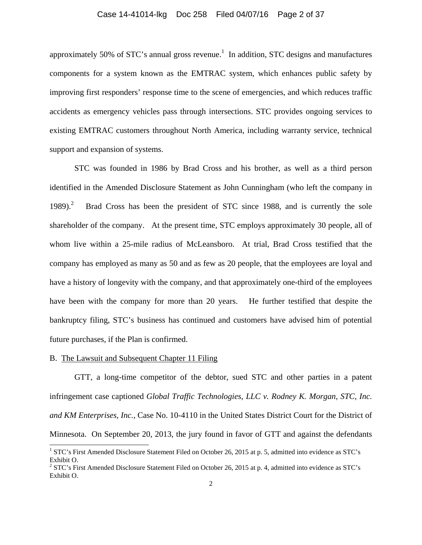## Case 14-41014-lkg Doc 258 Filed 04/07/16 Page 2 of 37

approximately 50% of STC's annual gross revenue.<sup>1</sup> In addition, STC designs and manufactures components for a system known as the EMTRAC system, which enhances public safety by improving first responders' response time to the scene of emergencies, and which reduces traffic accidents as emergency vehicles pass through intersections. STC provides ongoing services to existing EMTRAC customers throughout North America, including warranty service, technical support and expansion of systems.

STC was founded in 1986 by Brad Cross and his brother, as well as a third person identified in the Amended Disclosure Statement as John Cunningham (who left the company in  $1989$ <sup>2</sup> Brad Cross has been the president of STC since 1988, and is currently the sole shareholder of the company. At the present time, STC employs approximately 30 people, all of whom live within a 25-mile radius of McLeansboro. At trial, Brad Cross testified that the company has employed as many as 50 and as few as 20 people, that the employees are loyal and have a history of longevity with the company, and that approximately one-third of the employees have been with the company for more than 20 years. He further testified that despite the bankruptcy filing, STC's business has continued and customers have advised him of potential future purchases, if the Plan is confirmed.

#### B. The Lawsuit and Subsequent Chapter 11 Filing

l

 GTT, a long-time competitor of the debtor, sued STC and other parties in a patent infringement case captioned *Global Traffic Technologies, LLC v. Rodney K. Morgan, STC, Inc. and KM Enterprises, Inc.*, Case No. 10-4110 in the United States District Court for the District of Minnesota. On September 20, 2013, the jury found in favor of GTT and against the defendants

<sup>&</sup>lt;sup>1</sup> STC's First Amended Disclosure Statement Filed on October 26, 2015 at p. 5, admitted into evidence as STC's Exhibit O.

<sup>&</sup>lt;sup>2</sup> STC's First Amended Disclosure Statement Filed on October 26, 2015 at p. 4, admitted into evidence as STC's Exhibit O.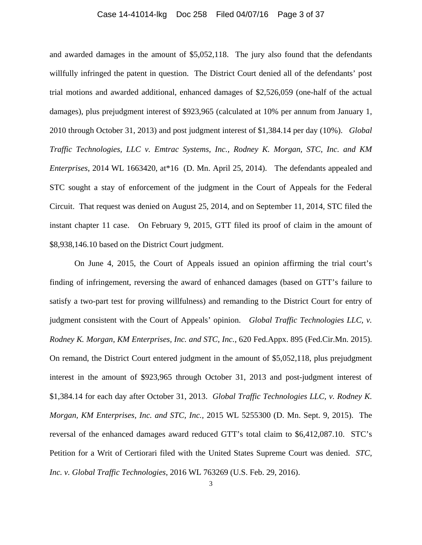## Case 14-41014-lkg Doc 258 Filed 04/07/16 Page 3 of 37

and awarded damages in the amount of \$5,052,118. The jury also found that the defendants willfully infringed the patent in question. The District Court denied all of the defendants' post trial motions and awarded additional, enhanced damages of \$2,526,059 (one-half of the actual damages), plus prejudgment interest of \$923,965 (calculated at 10% per annum from January 1, 2010 through October 31, 2013) and post judgment interest of \$1,384.14 per day (10%). *Global Traffic Technologies, LLC v. Emtrac Systems, Inc., Rodney K. Morgan, STC, Inc. and KM Enterprises*, 2014 WL 1663420, at\*16 (D. Mn. April 25, 2014). The defendants appealed and STC sought a stay of enforcement of the judgment in the Court of Appeals for the Federal Circuit. That request was denied on August 25, 2014, and on September 11, 2014, STC filed the instant chapter 11 case. On February 9, 2015, GTT filed its proof of claim in the amount of \$8,938,146.10 based on the District Court judgment.

 On June 4, 2015, the Court of Appeals issued an opinion affirming the trial court's finding of infringement, reversing the award of enhanced damages (based on GTT's failure to satisfy a two-part test for proving willfulness) and remanding to the District Court for entry of judgment consistent with the Court of Appeals' opinion. *Global Traffic Technologies LLC, v. Rodney K. Morgan, KM Enterprises, Inc. and STC, Inc.*, 620 Fed.Appx. 895 (Fed.Cir.Mn. 2015). On remand, the District Court entered judgment in the amount of \$5,052,118, plus prejudgment interest in the amount of \$923,965 through October 31, 2013 and post-judgment interest of \$1,384.14 for each day after October 31, 2013. *Global Traffic Technologies LLC, v. Rodney K. Morgan, KM Enterprises, Inc. and STC, Inc.,* 2015 WL 5255300 (D. Mn. Sept. 9, 2015). The reversal of the enhanced damages award reduced GTT's total claim to \$6,412,087.10. STC's Petition for a Writ of Certiorari filed with the United States Supreme Court was denied. *STC, Inc. v. Global Traffic Technologies*, 2016 WL 763269 (U.S. Feb. 29, 2016).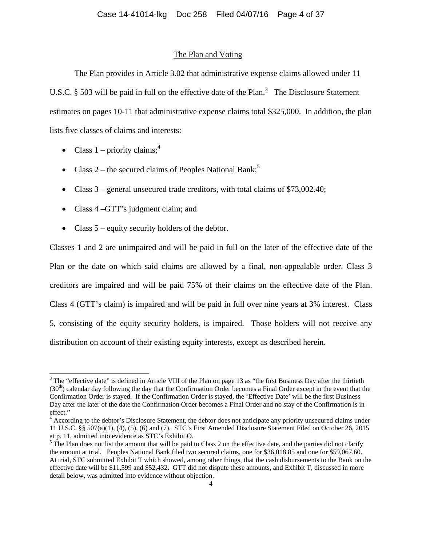## The Plan and Voting

The Plan provides in Article 3.02 that administrative expense claims allowed under 11 U.S.C. § 503 will be paid in full on the effective date of the Plan.<sup>3</sup> The Disclosure Statement estimates on pages 10-11 that administrative expense claims total \$325,000. In addition, the plan lists five classes of claims and interests:

- Class  $1$  priority claims;<sup>4</sup>
- Class 2 the secured claims of Peoples National Bank;<sup>5</sup>
- Class 3 general unsecured trade creditors, with total claims of \$73,002.40;
- Class 4 GTT's judgment claim; and
- Class 5 equity security holders of the debtor.

Classes 1 and 2 are unimpaired and will be paid in full on the later of the effective date of the Plan or the date on which said claims are allowed by a final, non-appealable order. Class 3 creditors are impaired and will be paid 75% of their claims on the effective date of the Plan. Class 4 (GTT's claim) is impaired and will be paid in full over nine years at 3% interest. Class 5, consisting of the equity security holders, is impaired. Those holders will not receive any distribution on account of their existing equity interests, except as described herein.

<sup>&</sup>lt;sup>3</sup> The "effective date" is defined in Article VIII of the Plan on page 13 as "the first Business Day after the thirtieth  $(30<sup>th</sup>)$  calendar day following the day that the Confirmation Order becomes a Final Order except in the event that the Confirmation Order is stayed. If the Confirmation Order is stayed, the 'Effective Date' will be the first Business Day after the later of the date the Confirmation Order becomes a Final Order and no stay of the Confirmation is in effect."

<sup>&</sup>lt;sup>4</sup> According to the debtor's Disclosure Statement, the debtor does not anticipate any priority unsecured claims under 11 U.S.C. §§ 507(a)(1), (4), (5), (6) and (7). STC's First Amended Disclosure Statement Filed on October 26, 2015 at p. 11, admitted into evidence as STC's Exhibit O.

 $5$  The Plan does not list the amount that will be paid to Class 2 on the effective date, and the parties did not clarify the amount at trial. Peoples National Bank filed two secured claims, one for \$36,018.85 and one for \$59,067.60. At trial, STC submitted Exhibit T which showed, among other things, that the cash disbursements to the Bank on the effective date will be \$11,599 and \$52,432. GTT did not dispute these amounts, and Exhibit T, discussed in more detail below, was admitted into evidence without objection.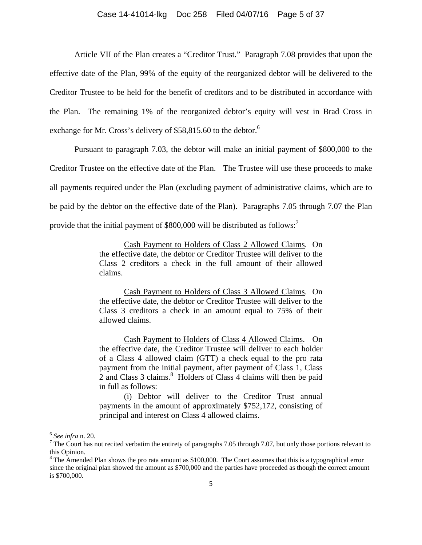## Case 14-41014-lkg Doc 258 Filed 04/07/16 Page 5 of 37

 Article VII of the Plan creates a "Creditor Trust." Paragraph 7.08 provides that upon the effective date of the Plan, 99% of the equity of the reorganized debtor will be delivered to the Creditor Trustee to be held for the benefit of creditors and to be distributed in accordance with the Plan. The remaining 1% of the reorganized debtor's equity will vest in Brad Cross in exchange for Mr. Cross's delivery of \$58,815.60 to the debtor.<sup>6</sup>

Pursuant to paragraph 7.03, the debtor will make an initial payment of \$800,000 to the Creditor Trustee on the effective date of the Plan. The Trustee will use these proceeds to make all payments required under the Plan (excluding payment of administrative claims, which are to be paid by the debtor on the effective date of the Plan). Paragraphs 7.05 through 7.07 the Plan provide that the initial payment of \$800,000 will be distributed as follows:<sup>7</sup>

> Cash Payment to Holders of Class 2 Allowed Claims. On the effective date, the debtor or Creditor Trustee will deliver to the Class 2 creditors a check in the full amount of their allowed claims.

> Cash Payment to Holders of Class 3 Allowed Claims. On the effective date, the debtor or Creditor Trustee will deliver to the Class 3 creditors a check in an amount equal to 75% of their allowed claims.

> Cash Payment to Holders of Class 4 Allowed Claims. On the effective date, the Creditor Trustee will deliver to each holder of a Class 4 allowed claim (GTT) a check equal to the pro rata payment from the initial payment, after payment of Class 1, Class  $2$  and Class 3 claims. $8$  Holders of Class 4 claims will then be paid in full as follows:

> (i) Debtor will deliver to the Creditor Trust annual payments in the amount of approximately \$752,172, consisting of principal and interest on Class 4 allowed claims.

 $\overline{a}$ 

<sup>6</sup> *See infra* n. 20. 7

 $7$  The Court has not recited verbatim the entirety of paragraphs 7.05 through 7.07, but only those portions relevant to this Opinion.

 $8$  The Amended Plan shows the pro rata amount as \$100,000. The Court assumes that this is a typographical error since the original plan showed the amount as \$700,000 and the parties have proceeded as though the correct amount is \$700,000.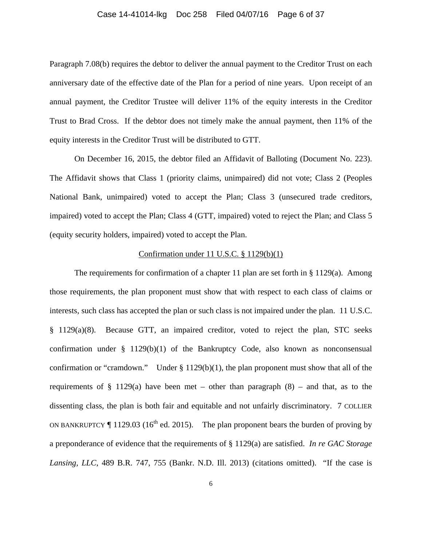## Case 14-41014-lkg Doc 258 Filed 04/07/16 Page 6 of 37

Paragraph 7.08(b) requires the debtor to deliver the annual payment to the Creditor Trust on each anniversary date of the effective date of the Plan for a period of nine years. Upon receipt of an annual payment, the Creditor Trustee will deliver 11% of the equity interests in the Creditor Trust to Brad Cross. If the debtor does not timely make the annual payment, then 11% of the equity interests in the Creditor Trust will be distributed to GTT.

 On December 16, 2015, the debtor filed an Affidavit of Balloting (Document No. 223). The Affidavit shows that Class 1 (priority claims, unimpaired) did not vote; Class 2 (Peoples National Bank, unimpaired) voted to accept the Plan; Class 3 (unsecured trade creditors, impaired) voted to accept the Plan; Class 4 (GTT, impaired) voted to reject the Plan; and Class 5 (equity security holders, impaired) voted to accept the Plan.

## Confirmation under 11 U.S.C. § 1129(b)(1)

The requirements for confirmation of a chapter 11 plan are set forth in  $\S 1129(a)$ . Among those requirements, the plan proponent must show that with respect to each class of claims or interests, such class has accepted the plan or such class is not impaired under the plan. 11 U.S.C. § 1129(a)(8). Because GTT, an impaired creditor, voted to reject the plan, STC seeks confirmation under  $\S$  1129(b)(1) of the Bankruptcy Code, also known as nonconsensual confirmation or "cramdown." Under § 1129(b)(1), the plan proponent must show that all of the requirements of  $\S$  1129(a) have been met – other than paragraph (8) – and that, as to the dissenting class, the plan is both fair and equitable and not unfairly discriminatory. 7 COLLIER ON BANKRUPTCY  $\P$  1129.03 (16<sup>th</sup> ed. 2015). The plan proponent bears the burden of proving by a preponderance of evidence that the requirements of § 1129(a) are satisfied. *In re GAC Storage Lansing, LLC*, 489 B.R. 747, 755 (Bankr. N.D. Ill. 2013) (citations omitted). "If the case is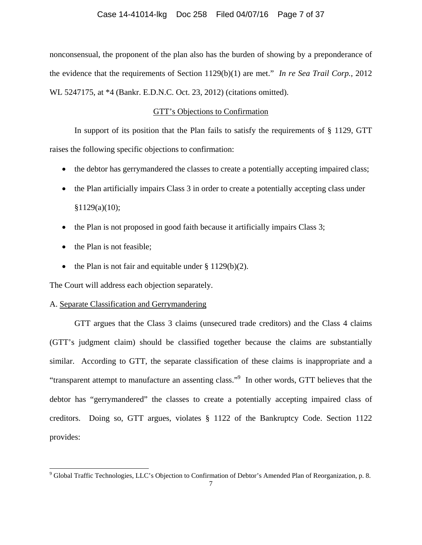nonconsensual, the proponent of the plan also has the burden of showing by a preponderance of the evidence that the requirements of Section 1129(b)(1) are met." *In re Sea Trail Corp.*, 2012 WL 5247175, at \*4 (Bankr. E.D.N.C. Oct. 23, 2012) (citations omitted).

## GTT's Objections to Confirmation

 In support of its position that the Plan fails to satisfy the requirements of § 1129, GTT raises the following specific objections to confirmation:

- the debtor has gerrymandered the classes to create a potentially accepting impaired class;
- the Plan artificially impairs Class 3 in order to create a potentially accepting class under  $§1129(a)(10);$
- $\bullet$  the Plan is not proposed in good faith because it artificially impairs Class 3;
- the Plan is not feasible;
- the Plan is not fair and equitable under  $\S 1129(b)(2)$ .

The Court will address each objection separately.

## A. Separate Classification and Gerrymandering

 GTT argues that the Class 3 claims (unsecured trade creditors) and the Class 4 claims (GTT's judgment claim) should be classified together because the claims are substantially similar. According to GTT, the separate classification of these claims is inappropriate and a "transparent attempt to manufacture an assenting class."<sup>9</sup> In other words, GTT believes that the debtor has "gerrymandered" the classes to create a potentially accepting impaired class of creditors. Doing so, GTT argues, violates § 1122 of the Bankruptcy Code. Section 1122 provides:

<sup>&</sup>lt;sup>9</sup> Global Traffic Technologies, LLC's Objection to Confirmation of Debtor's Amended Plan of Reorganization, p. 8.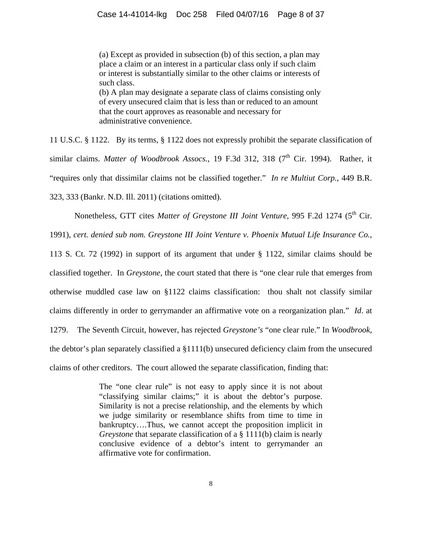(a) Except as provided in subsection (b) of this section, a plan may place a claim or an interest in a particular class only if such claim or interest is substantially similar to the other claims or interests of such class. (b) A plan may designate a separate class of claims consisting only of every unsecured claim that is less than or reduced to an amount that the court approves as reasonable and necessary for administrative convenience.

11 U.S.C. § 1122. By its terms, § 1122 does not expressly prohibit the separate classification of similar claims. *Matter of Woodbrook Assocs.*, 19 F.3d 312, 318 (7<sup>th</sup> Cir. 1994). Rather, it "requires only that dissimilar claims not be classified together." *In re Multiut Corp.*, 449 B.R. 323, 333 (Bankr. N.D. Ill. 2011) (citations omitted).

Nonetheless, GTT cites *Matter of Greystone III Joint Venture*, 995 F.2d 1274 (5<sup>th</sup> Cir.

1991), *cert. denied sub nom. Greystone III Joint Venture v. Phoenix Mutual Life Insurance Co.*,

113 S. Ct. 72 (1992) in support of its argument that under § 1122, similar claims should be classified together. In *Greystone*, the court stated that there is "one clear rule that emerges from otherwise muddled case law on §1122 claims classification: thou shalt not classify similar claims differently in order to gerrymander an affirmative vote on a reorganization plan." *Id*. at 1279. The Seventh Circuit, however, has rejected *Greystone's* "one clear rule." In *Woodbrook*, the debtor's plan separately classified a  $\S1111(b)$  unsecured deficiency claim from the unsecured claims of other creditors. The court allowed the separate classification, finding that:

> The "one clear rule" is not easy to apply since it is not about "classifying similar claims;" it is about the debtor's purpose. Similarity is not a precise relationship, and the elements by which we judge similarity or resemblance shifts from time to time in bankruptcy….Thus, we cannot accept the proposition implicit in *Greystone* that separate classification of a § 1111(b) claim is nearly conclusive evidence of a debtor's intent to gerrymander an affirmative vote for confirmation.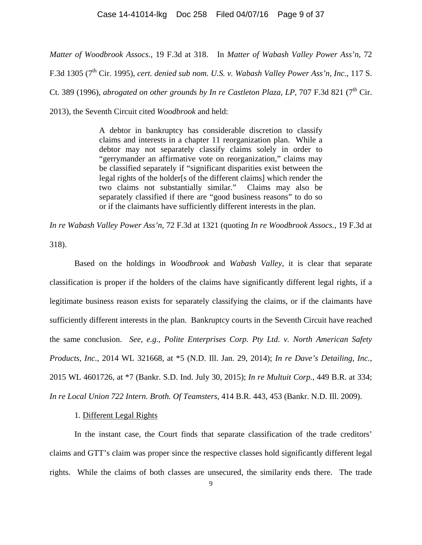*Matter of Woodbrook Assocs.*, 19 F.3d at 318. In *Matter of Wabash Valley Power Ass'n*, 72

F.3d 1305 (7<sup>th</sup> Cir. 1995), *cert. denied sub nom. U.S. v. Wabash Valley Power Ass'n, Inc.*, 117 S.

Ct. 389 (1996), *abrogated on other grounds by In re Castleton Plaza, LP*, 707 F.3d 821 (7<sup>th</sup> Cir.

2013), the Seventh Circuit cited *Woodbrook* and held:

A debtor in bankruptcy has considerable discretion to classify claims and interests in a chapter 11 reorganization plan. While a debtor may not separately classify claims solely in order to "gerrymander an affirmative vote on reorganization," claims may be classified separately if "significant disparities exist between the legal rights of the holder[s of the different claims] which render the two claims not substantially similar." Claims may also be separately classified if there are "good business reasons" to do so or if the claimants have sufficiently different interests in the plan.

*In re Wabash Valley Power Ass'n*, 72 F.3d at 1321 (quoting *In re Woodbrook Assocs.*, 19 F.3d at 318).

 Based on the holdings in *Woodbrook* and *Wabash Valley*, it is clear that separate classification is proper if the holders of the claims have significantly different legal rights, if a legitimate business reason exists for separately classifying the claims, or if the claimants have sufficiently different interests in the plan. Bankruptcy courts in the Seventh Circuit have reached the same conclusion. *See, e.g., Polite Enterprises Corp. Pty Ltd. v. North American Safety Products, Inc.*, 2014 WL 321668, at \*5 (N.D. Ill. Jan. 29, 2014); *In re Dave's Detailing, Inc.*, 2015 WL 4601726, at \*7 (Bankr. S.D. Ind. July 30, 2015); *In re Multuit Corp.*, 449 B.R. at 334; *In re Local Union 722 Intern. Broth. Of Teamsters*, 414 B.R. 443, 453 (Bankr. N.D. Ill. 2009).

## 1. Different Legal Rights

 In the instant case, the Court finds that separate classification of the trade creditors' claims and GTT's claim was proper since the respective classes hold significantly different legal rights. While the claims of both classes are unsecured, the similarity ends there. The trade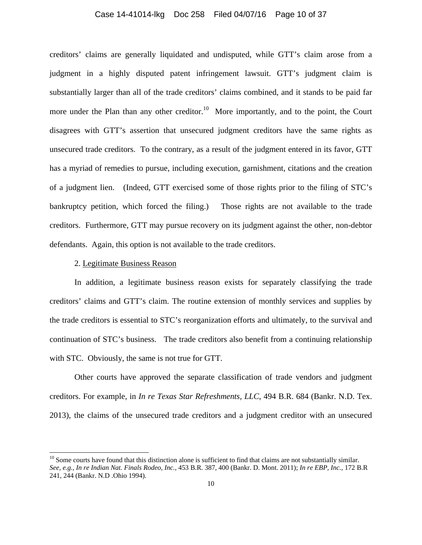## Case 14-41014-lkg Doc 258 Filed 04/07/16 Page 10 of 37

creditors' claims are generally liquidated and undisputed, while GTT's claim arose from a judgment in a highly disputed patent infringement lawsuit. GTT's judgment claim is substantially larger than all of the trade creditors' claims combined, and it stands to be paid far more under the Plan than any other creditor.<sup>10</sup> More importantly, and to the point, the Court disagrees with GTT's assertion that unsecured judgment creditors have the same rights as unsecured trade creditors. To the contrary, as a result of the judgment entered in its favor, GTT has a myriad of remedies to pursue, including execution, garnishment, citations and the creation of a judgment lien. (Indeed, GTT exercised some of those rights prior to the filing of STC's bankruptcy petition, which forced the filing.) Those rights are not available to the trade creditors. Furthermore, GTT may pursue recovery on its judgment against the other, non-debtor defendants. Again, this option is not available to the trade creditors.

## 2. Legitimate Business Reason

 $\overline{a}$ 

In addition, a legitimate business reason exists for separately classifying the trade creditors' claims and GTT's claim. The routine extension of monthly services and supplies by the trade creditors is essential to STC's reorganization efforts and ultimately, to the survival and continuation of STC's business. The trade creditors also benefit from a continuing relationship with STC. Obviously, the same is not true for GTT.

Other courts have approved the separate classification of trade vendors and judgment creditors. For example, in *In re Texas Star Refreshments, LLC*, 494 B.R. 684 (Bankr. N.D. Tex. 2013), the claims of the unsecured trade creditors and a judgment creditor with an unsecured

 $10$  Some courts have found that this distinction alone is sufficient to find that claims are not substantially similar. *See, e.g., In re Indian Nat. Finals Rodeo, Inc.*, 453 B.R. 387, 400 (Bankr. D. Mont. 2011); *In re EBP, Inc.*, 172 B.R 241, 244 (Bankr. N.D .Ohio 1994).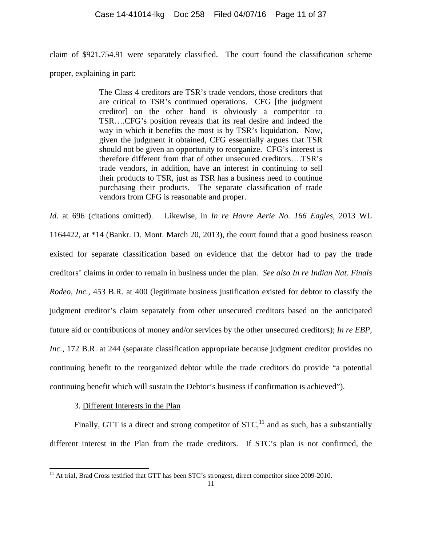claim of \$921,754.91 were separately classified. The court found the classification scheme proper, explaining in part:

> The Class 4 creditors are TSR's trade vendors, those creditors that are critical to TSR's continued operations. CFG [the judgment creditor] on the other hand is obviously a competitor to TSR….CFG's position reveals that its real desire and indeed the way in which it benefits the most is by TSR's liquidation. Now, given the judgment it obtained, CFG essentially argues that TSR should not be given an opportunity to reorganize. CFG's interest is therefore different from that of other unsecured creditors….TSR's trade vendors, in addition, have an interest in continuing to sell their products to TSR, just as TSR has a business need to continue purchasing their products. The separate classification of trade vendors from CFG is reasonable and proper.

*Id*. at 696 (citations omitted). Likewise, in *In re Havre Aerie No. 166 Eagles*, 2013 WL 1164422, at \*14 (Bankr. D. Mont. March 20, 2013), the court found that a good business reason existed for separate classification based on evidence that the debtor had to pay the trade creditors' claims in order to remain in business under the plan. *See also In re Indian Nat. Finals Rodeo, Inc.*, 453 B.R. at 400 (legitimate business justification existed for debtor to classify the judgment creditor's claim separately from other unsecured creditors based on the anticipated future aid or contributions of money and/or services by the other unsecured creditors); *In re EBP, Inc.*, 172 B.R. at 244 (separate classification appropriate because judgment creditor provides no continuing benefit to the reorganized debtor while the trade creditors do provide "a potential continuing benefit which will sustain the Debtor's business if confirmation is achieved").

3. Different Interests in the Plan

l

Finally, GTT is a direct and strong competitor of  $STC<sub>11</sub><sup>11</sup>$  and as such, has a substantially different interest in the Plan from the trade creditors. If STC's plan is not confirmed, the

<sup>&</sup>lt;sup>11</sup> At trial, Brad Cross testified that GTT has been STC's strongest, direct competitor since 2009-2010.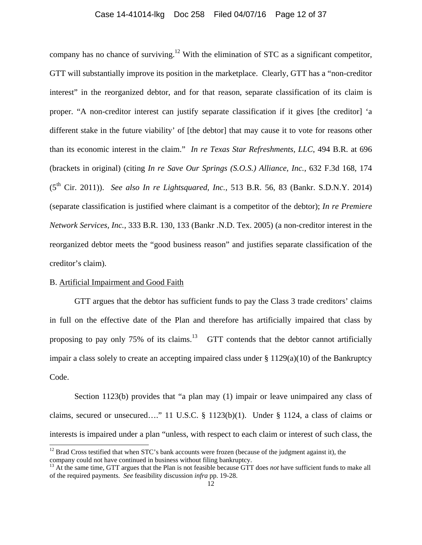## Case 14-41014-lkg Doc 258 Filed 04/07/16 Page 12 of 37

company has no chance of surviving.<sup>12</sup> With the elimination of STC as a significant competitor, GTT will substantially improve its position in the marketplace. Clearly, GTT has a "non-creditor interest" in the reorganized debtor, and for that reason, separate classification of its claim is proper. "A non-creditor interest can justify separate classification if it gives [the creditor] 'a different stake in the future viability' of [the debtor] that may cause it to vote for reasons other than its economic interest in the claim." *In re Texas Star Refreshments, LLC*, 494 B.R. at 696 (brackets in original) (citing *In re Save Our Springs (S.O.S.) Alliance, Inc.*, 632 F.3d 168, 174 (5th Cir. 2011)). *See also In re Lightsquared, Inc.*, 513 B.R. 56, 83 (Bankr. S.D.N.Y. 2014) (separate classification is justified where claimant is a competitor of the debtor); *In re Premiere Network Services, Inc.*, 333 B.R. 130, 133 (Bankr .N.D. Tex. 2005) (a non-creditor interest in the reorganized debtor meets the "good business reason" and justifies separate classification of the creditor's claim).

## B. Artificial Impairment and Good Faith

l

 GTT argues that the debtor has sufficient funds to pay the Class 3 trade creditors' claims in full on the effective date of the Plan and therefore has artificially impaired that class by proposing to pay only 75% of its claims.<sup>13</sup> GTT contends that the debtor cannot artificially impair a class solely to create an accepting impaired class under § 1129(a)(10) of the Bankruptcy Code.

 Section 1123(b) provides that "a plan may (1) impair or leave unimpaired any class of claims, secured or unsecured…." 11 U.S.C. § 1123(b)(1). Under § 1124, a class of claims or interests is impaired under a plan "unless, with respect to each claim or interest of such class, the

 $12$  Brad Cross testified that when STC's bank accounts were frozen (because of the judgment against it), the company could not have continued in business without filing bankruptcy.

<sup>&</sup>lt;sup>13</sup> At the same time, GTT argues that the Plan is not feasible because GTT does *not* have sufficient funds to make all of the required payments. *See* feasibility discussion *infra* pp. 19-28.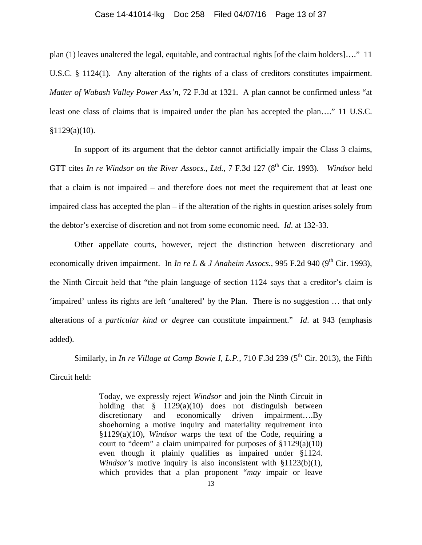#### Case 14-41014-lkg Doc 258 Filed 04/07/16 Page 13 of 37

plan (1) leaves unaltered the legal, equitable, and contractual rights [of the claim holders]…." 11 U.S.C. § 1124(1). Any alteration of the rights of a class of creditors constitutes impairment. *Matter of Wabash Valley Power Ass'n*, 72 F.3d at 1321. A plan cannot be confirmed unless "at least one class of claims that is impaired under the plan has accepted the plan…." 11 U.S.C.  $$1129(a)(10).$ 

 In support of its argument that the debtor cannot artificially impair the Class 3 claims, GTT cites *In re Windsor on the River Assocs., Ltd.*, 7 F.3d 127 (8<sup>th</sup> Cir. 1993). *Windsor held* that a claim is not impaired – and therefore does not meet the requirement that at least one impaired class has accepted the plan – if the alteration of the rights in question arises solely from the debtor's exercise of discretion and not from some economic need. *Id*. at 132-33.

 Other appellate courts, however, reject the distinction between discretionary and economically driven impairment. In *In re L & J Anaheim Assocs.*, 995 F.2d 940 (9<sup>th</sup> Cir. 1993), the Ninth Circuit held that "the plain language of section 1124 says that a creditor's claim is 'impaired' unless its rights are left 'unaltered' by the Plan. There is no suggestion … that only alterations of a *particular kind or degree* can constitute impairment." *Id*. at 943 (emphasis added).

Similarly, in *In re Village at Camp Bowie I, L.P.*, 710 F.3d 239 ( $5<sup>th</sup>$  Cir. 2013), the Fifth Circuit held:

> Today, we expressly reject *Windsor* and join the Ninth Circuit in holding that  $\frac{8}{9}$  1129(a)(10) does not distinguish between discretionary and economically driven impairment….By shoehorning a motive inquiry and materiality requirement into §1129(a)(10), *Windsor* warps the text of the Code, requiring a court to "deem" a claim unimpaired for purposes of §1129(a)(10) even though it plainly qualifies as impaired under §1124. *Windsor's* motive inquiry is also inconsistent with §1123(b)(1), which provides that a plan proponent "*may* impair or leave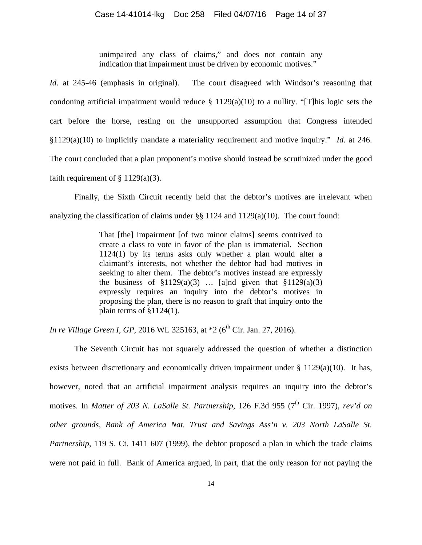unimpaired any class of claims," and does not contain any indication that impairment must be driven by economic motives."

*Id.* at 245-46 (emphasis in original). The court disagreed with Windsor's reasoning that condoning artificial impairment would reduce  $\S$  1129(a)(10) to a nullity. "[T]his logic sets the cart before the horse, resting on the unsupported assumption that Congress intended §1129(a)(10) to implicitly mandate a materiality requirement and motive inquiry." *Id*. at 246. The court concluded that a plan proponent's motive should instead be scrutinized under the good faith requirement of  $\S 1129(a)(3)$ .

Finally, the Sixth Circuit recently held that the debtor's motives are irrelevant when analyzing the classification of claims under  $\S$  1124 and 1129(a)(10). The court found:

> That [the] impairment [of two minor claims] seems contrived to create a class to vote in favor of the plan is immaterial. Section 1124(1) by its terms asks only whether a plan would alter a claimant's interests, not whether the debtor had bad motives in seeking to alter them. The debtor's motives instead are expressly the business of  $\S1129(a)(3)$  ... [a]nd given that  $\S1129(a)(3)$ expressly requires an inquiry into the debtor's motives in proposing the plan, there is no reason to graft that inquiry onto the plain terms of  $$1124(1)$ .

*In re Village Green I, GP, 2016 WL 325163, at \*2 (6<sup>th</sup> Cir. Jan. 27, 2016).* 

 The Seventh Circuit has not squarely addressed the question of whether a distinction exists between discretionary and economically driven impairment under § 1129(a)(10). It has, however, noted that an artificial impairment analysis requires an inquiry into the debtor's motives. In *Matter of 203 N. LaSalle St. Partnership*, 126 F.3d 955 (7<sup>th</sup> Cir. 1997), *rev'd on other grounds, Bank of America Nat. Trust and Savings Ass'n v. 203 North LaSalle St. Partnership*, 119 S. Ct. 1411 607 (1999), the debtor proposed a plan in which the trade claims were not paid in full. Bank of America argued, in part, that the only reason for not paying the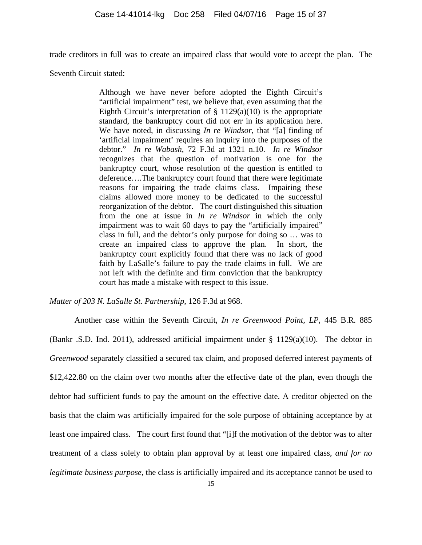trade creditors in full was to create an impaired class that would vote to accept the plan. The

Seventh Circuit stated:

Although we have never before adopted the Eighth Circuit's "artificial impairment" test, we believe that, even assuming that the Eighth Circuit's interpretation of  $\S$  1129(a)(10) is the appropriate standard, the bankruptcy court did not err in its application here. We have noted, in discussing *In re Windsor*, that "[a] finding of 'artificial impairment' requires an inquiry into the purposes of the debtor." *In re Wabash*, 72 F.3d at 1321 n.10. *In re Windsor* recognizes that the question of motivation is one for the bankruptcy court, whose resolution of the question is entitled to deference….The bankruptcy court found that there were legitimate reasons for impairing the trade claims class. Impairing these claims allowed more money to be dedicated to the successful reorganization of the debtor. The court distinguished this situation from the one at issue in *In re Windsor* in which the only impairment was to wait 60 days to pay the "artificially impaired" class in full, and the debtor's only purpose for doing so … was to create an impaired class to approve the plan. In short, the bankruptcy court explicitly found that there was no lack of good faith by LaSalle's failure to pay the trade claims in full. We are not left with the definite and firm conviction that the bankruptcy court has made a mistake with respect to this issue.

*Matter of 203 N. LaSalle St. Partnership*, 126 F.3d at 968.

Another case within the Seventh Circuit, *In re Greenwood Point, LP*, 445 B.R. 885 (Bankr .S.D. Ind. 2011), addressed artificial impairment under  $\S$  1129(a)(10). The debtor in *Greenwood* separately classified a secured tax claim, and proposed deferred interest payments of \$12,422.80 on the claim over two months after the effective date of the plan, even though the debtor had sufficient funds to pay the amount on the effective date. A creditor objected on the basis that the claim was artificially impaired for the sole purpose of obtaining acceptance by at least one impaired class. The court first found that "[i]f the motivation of the debtor was to alter treatment of a class solely to obtain plan approval by at least one impaired class, *and for no legitimate business purpose*, the class is artificially impaired and its acceptance cannot be used to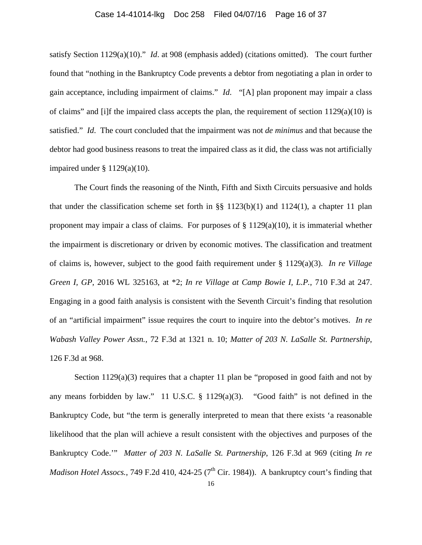#### Case 14-41014-lkg Doc 258 Filed 04/07/16 Page 16 of 37

satisfy Section 1129(a)(10)." *Id*. at 908 (emphasis added) (citations omitted). The court further found that "nothing in the Bankruptcy Code prevents a debtor from negotiating a plan in order to gain acceptance, including impairment of claims." *Id*. "[A] plan proponent may impair a class of claims" and [i]f the impaired class accepts the plan, the requirement of section 1129(a)(10) is satisfied." *Id*. The court concluded that the impairment was not *de minimus* and that because the debtor had good business reasons to treat the impaired class as it did, the class was not artificially impaired under  $§ 1129(a)(10)$ .

The Court finds the reasoning of the Ninth, Fifth and Sixth Circuits persuasive and holds that under the classification scheme set forth in §§  $1123(b)(1)$  and  $1124(1)$ , a chapter 11 plan proponent may impair a class of claims. For purposes of  $\S 1129(a)(10)$ , it is immaterial whether the impairment is discretionary or driven by economic motives. The classification and treatment of claims is, however, subject to the good faith requirement under § 1129(a)(3). *In re Village Green I, GP*, 2016 WL 325163, at \*2; *In re Village at Camp Bowie I, L.P.*, 710 F.3d at 247. Engaging in a good faith analysis is consistent with the Seventh Circuit's finding that resolution of an "artificial impairment" issue requires the court to inquire into the debtor's motives. *In re Wabash Valley Power Assn.*, 72 F.3d at 1321 n. 10; *Matter of 203 N. LaSalle St. Partnership*, 126 F.3d at 968.

Section 1129(a)(3) requires that a chapter 11 plan be "proposed in good faith and not by any means forbidden by law." 11 U.S.C. § 1129(a)(3). "Good faith" is not defined in the Bankruptcy Code, but "the term is generally interpreted to mean that there exists 'a reasonable likelihood that the plan will achieve a result consistent with the objectives and purposes of the Bankruptcy Code.'" *Matter of 203 N. LaSalle St. Partnership*, 126 F.3d at 969 (citing *In re Madison Hotel Assocs.*, 749 F.2d 410, 424-25 (7<sup>th</sup> Cir. 1984)). A bankruptcy court's finding that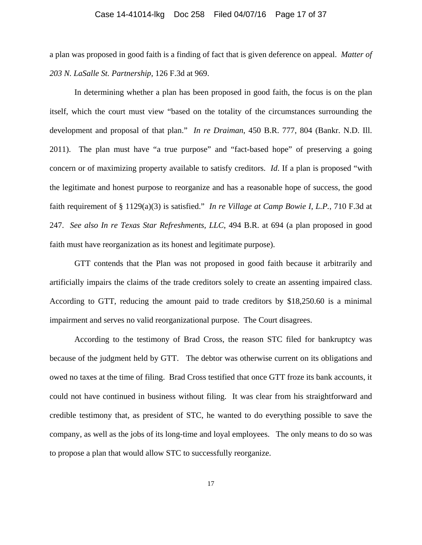## Case 14-41014-lkg Doc 258 Filed 04/07/16 Page 17 of 37

a plan was proposed in good faith is a finding of fact that is given deference on appeal. *Matter of 203 N. LaSalle St. Partnership*, 126 F.3d at 969.

In determining whether a plan has been proposed in good faith, the focus is on the plan itself, which the court must view "based on the totality of the circumstances surrounding the development and proposal of that plan." *In re Draiman*, 450 B.R. 777, 804 (Bankr. N.D. Ill. 2011). The plan must have "a true purpose" and "fact-based hope" of preserving a going concern or of maximizing property available to satisfy creditors. *Id*. If a plan is proposed "with the legitimate and honest purpose to reorganize and has a reasonable hope of success, the good faith requirement of § 1129(a)(3) is satisfied." *In re Village at Camp Bowie I, L.P.*, 710 F.3d at 247. *See also In re Texas Star Refreshments, LLC*, 494 B.R. at 694 (a plan proposed in good faith must have reorganization as its honest and legitimate purpose).

GTT contends that the Plan was not proposed in good faith because it arbitrarily and artificially impairs the claims of the trade creditors solely to create an assenting impaired class. According to GTT, reducing the amount paid to trade creditors by \$18,250.60 is a minimal impairment and serves no valid reorganizational purpose. The Court disagrees.

 According to the testimony of Brad Cross, the reason STC filed for bankruptcy was because of the judgment held by GTT. The debtor was otherwise current on its obligations and owed no taxes at the time of filing. Brad Cross testified that once GTT froze its bank accounts, it could not have continued in business without filing. It was clear from his straightforward and credible testimony that, as president of STC, he wanted to do everything possible to save the company, as well as the jobs of its long-time and loyal employees. The only means to do so was to propose a plan that would allow STC to successfully reorganize.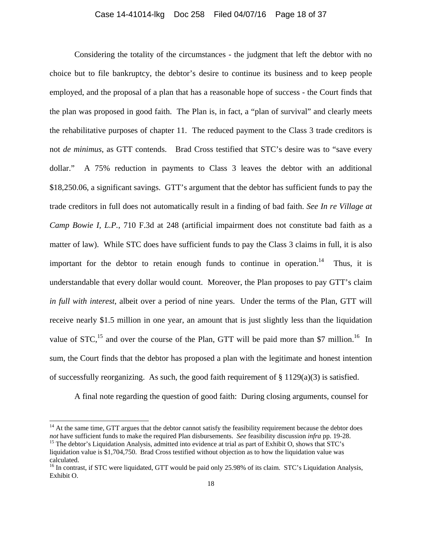#### Case 14-41014-lkg Doc 258 Filed 04/07/16 Page 18 of 37

 Considering the totality of the circumstances - the judgment that left the debtor with no choice but to file bankruptcy, the debtor's desire to continue its business and to keep people employed, and the proposal of a plan that has a reasonable hope of success - the Court finds that the plan was proposed in good faith. The Plan is, in fact, a "plan of survival" and clearly meets the rehabilitative purposes of chapter 11. The reduced payment to the Class 3 trade creditors is not *de minimus*, as GTT contends. Brad Cross testified that STC's desire was to "save every dollar." A 75% reduction in payments to Class 3 leaves the debtor with an additional \$18,250.06, a significant savings. GTT's argument that the debtor has sufficient funds to pay the trade creditors in full does not automatically result in a finding of bad faith. *See In re Village at Camp Bowie I, L.P.*, 710 F.3d at 248 (artificial impairment does not constitute bad faith as a matter of law). While STC does have sufficient funds to pay the Class 3 claims in full, it is also important for the debtor to retain enough funds to continue in operation.<sup>14</sup> Thus, it is understandable that every dollar would count. Moreover, the Plan proposes to pay GTT's claim *in full with interest*, albeit over a period of nine years. Under the terms of the Plan, GTT will receive nearly \$1.5 million in one year, an amount that is just slightly less than the liquidation value of  $STC<sub>15</sub>$  and over the course of the Plan, GTT will be paid more than \$7 million.<sup>16</sup> In sum, the Court finds that the debtor has proposed a plan with the legitimate and honest intention of successfully reorganizing. As such, the good faith requirement of  $\S 1129(a)(3)$  is satisfied.

A final note regarding the question of good faith: During closing arguments, counsel for

l

 $14$  At the same time, GTT argues that the debtor cannot satisfy the feasibility requirement because the debtor does not have sufficient funds to make the required Plan disbursements. See feasibility discussion infra pp. 19-28.<br><sup>15</sup> The debtor's Liquidation Analysis, admitted into evidence at trial as part of Exhibit O, shows that STC's

liquidation value is \$1,704,750. Brad Cross testified without objection as to how the liquidation value was calculated.

<sup>&</sup>lt;sup>16</sup> In contrast, if STC were liquidated, GTT would be paid only 25.98% of its claim. STC's Liquidation Analysis, Exhibit O.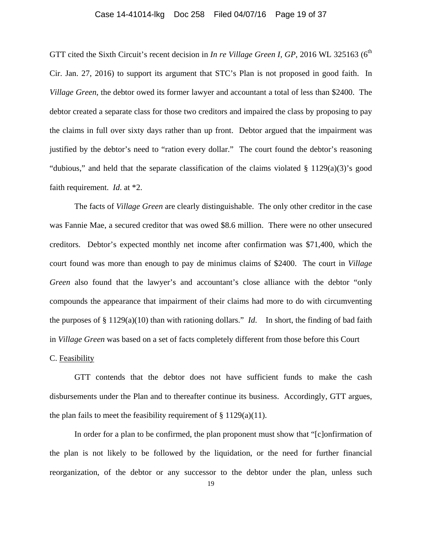## Case 14-41014-lkg Doc 258 Filed 04/07/16 Page 19 of 37

GTT cited the Sixth Circuit's recent decision in *In re Village Green I, GP*, 2016 WL 325163 (6<sup>th</sup> Cir. Jan. 27, 2016) to support its argument that STC's Plan is not proposed in good faith. In *Village Green*, the debtor owed its former lawyer and accountant a total of less than \$2400. The debtor created a separate class for those two creditors and impaired the class by proposing to pay the claims in full over sixty days rather than up front. Debtor argued that the impairment was justified by the debtor's need to "ration every dollar." The court found the debtor's reasoning "dubious," and held that the separate classification of the claims violated § 1129(a)(3)'s good faith requirement. *Id*. at \*2.

The facts of *Village Green* are clearly distinguishable. The only other creditor in the case was Fannie Mae, a secured creditor that was owed \$8.6 million. There were no other unsecured creditors. Debtor's expected monthly net income after confirmation was \$71,400, which the court found was more than enough to pay de minimus claims of \$2400. The court in *Village Green* also found that the lawyer's and accountant's close alliance with the debtor "only compounds the appearance that impairment of their claims had more to do with circumventing the purposes of § 1129(a)(10) than with rationing dollars." *Id*. In short, the finding of bad faith in *Village Green* was based on a set of facts completely different from those before this Court C. Feasibility

 GTT contends that the debtor does not have sufficient funds to make the cash disbursements under the Plan and to thereafter continue its business. Accordingly, GTT argues, the plan fails to meet the feasibility requirement of  $\S 1129(a)(11)$ .

In order for a plan to be confirmed, the plan proponent must show that "[c]onfirmation of the plan is not likely to be followed by the liquidation, or the need for further financial reorganization, of the debtor or any successor to the debtor under the plan, unless such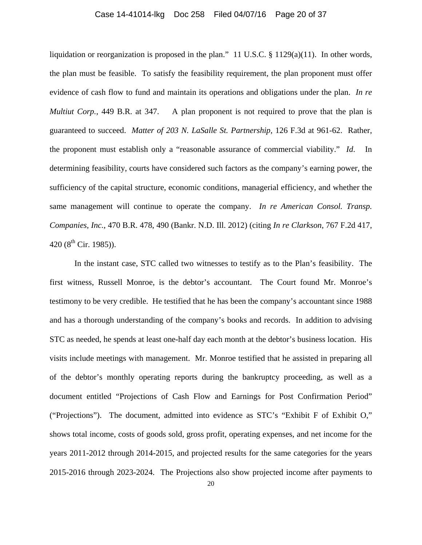## Case 14-41014-lkg Doc 258 Filed 04/07/16 Page 20 of 37

liquidation or reorganization is proposed in the plan." 11 U.S.C. § 1129(a)(11). In other words, the plan must be feasible. To satisfy the feasibility requirement, the plan proponent must offer evidence of cash flow to fund and maintain its operations and obligations under the plan. *In re Multiut Corp.*, 449 B.R. at 347. A plan proponent is not required to prove that the plan is guaranteed to succeed. *Matter of 203 N. LaSalle St. Partnership*, 126 F.3d at 961-62. Rather, the proponent must establish only a "reasonable assurance of commercial viability." *Id*. In determining feasibility, courts have considered such factors as the company's earning power, the sufficiency of the capital structure, economic conditions, managerial efficiency, and whether the same management will continue to operate the company. *In re American Consol. Transp. Companies, Inc.*, 470 B.R. 478, 490 (Bankr. N.D. Ill. 2012) (citing *In re Clarkson*, 767 F.2d 417, 420 ( $8^{th}$  Cir. 1985)).

In the instant case, STC called two witnesses to testify as to the Plan's feasibility. The first witness, Russell Monroe, is the debtor's accountant. The Court found Mr. Monroe's testimony to be very credible. He testified that he has been the company's accountant since 1988 and has a thorough understanding of the company's books and records. In addition to advising STC as needed, he spends at least one-half day each month at the debtor's business location. His visits include meetings with management. Mr. Monroe testified that he assisted in preparing all of the debtor's monthly operating reports during the bankruptcy proceeding, as well as a document entitled "Projections of Cash Flow and Earnings for Post Confirmation Period" ("Projections"). The document, admitted into evidence as STC's "Exhibit F of Exhibit O," shows total income, costs of goods sold, gross profit, operating expenses, and net income for the years 2011-2012 through 2014-2015, and projected results for the same categories for the years 2015-2016 through 2023-2024. The Projections also show projected income after payments to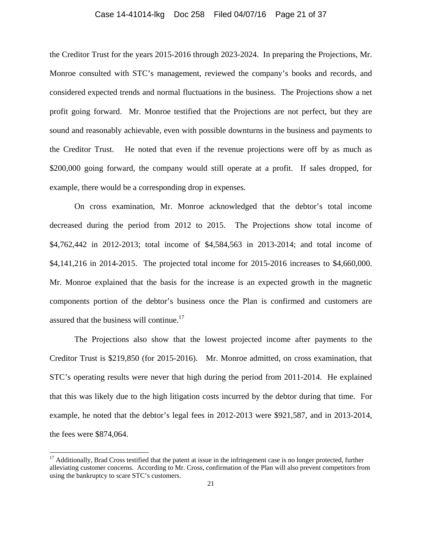## Case 14-41014-lkg Doc 258 Filed 04/07/16 Page 21 of 37

the Creditor Trust for the years 2015-2016 through 2023-2024. In preparing the Projections, Mr. Monroe consulted with STC's management, reviewed the company's books and records, and considered expected trends and normal fluctuations in the business. The Projections show a net profit going forward. Mr. Monroe testified that the Projections are not perfect, but they are sound and reasonably achievable, even with possible downturns in the business and payments to the Creditor Trust. He noted that even if the revenue projections were off by as much as \$200,000 going forward, the company would still operate at a profit. If sales dropped, for example, there would be a corresponding drop in expenses.

 On cross examination, Mr. Monroe acknowledged that the debtor's total income decreased during the period from 2012 to 2015. The Projections show total income of \$4,762,442 in 2012-2013; total income of \$4,584,563 in 2013-2014; and total income of \$4,141,216 in 2014-2015. The projected total income for 2015-2016 increases to \$4,660,000. Mr. Monroe explained that the basis for the increase is an expected growth in the magnetic components portion of the debtor's business once the Plan is confirmed and customers are assured that the business will continue.<sup>17</sup>

 The Projections also show that the lowest projected income after payments to the Creditor Trust is \$219,850 (for 2015-2016). Mr. Monroe admitted, on cross examination, that STC's operating results were never that high during the period from 2011-2014. He explained that this was likely due to the high litigation costs incurred by the debtor during that time. For example, he noted that the debtor's legal fees in 2012-2013 were \$921,587, and in 2013-2014, the fees were \$874,064.

 $\overline{a}$ 

<sup>&</sup>lt;sup>17</sup> Additionally, Brad Cross testified that the patent at issue in the infringement case is no longer protected, further alleviating customer concerns. According to Mr. Cross, confirmation of the Plan will also prevent competitors from using the bankruptcy to scare STC's customers.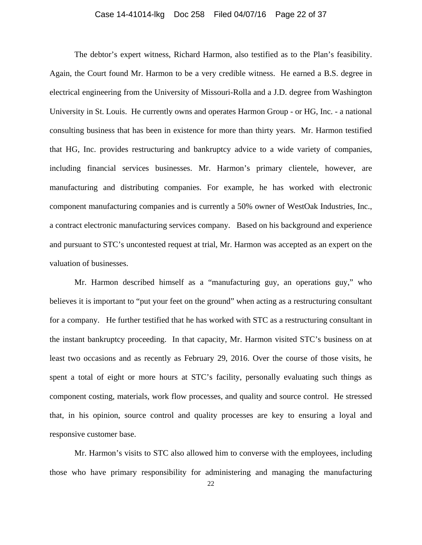## Case 14-41014-lkg Doc 258 Filed 04/07/16 Page 22 of 37

 The debtor's expert witness, Richard Harmon, also testified as to the Plan's feasibility. Again, the Court found Mr. Harmon to be a very credible witness. He earned a B.S. degree in electrical engineering from the University of Missouri-Rolla and a J.D. degree from Washington University in St. Louis. He currently owns and operates Harmon Group - or HG, Inc. - a national consulting business that has been in existence for more than thirty years. Mr. Harmon testified that HG, Inc. provides restructuring and bankruptcy advice to a wide variety of companies, including financial services businesses. Mr. Harmon's primary clientele, however, are manufacturing and distributing companies. For example, he has worked with electronic component manufacturing companies and is currently a 50% owner of WestOak Industries, Inc., a contract electronic manufacturing services company. Based on his background and experience and pursuant to STC's uncontested request at trial, Mr. Harmon was accepted as an expert on the valuation of businesses.

 Mr. Harmon described himself as a "manufacturing guy, an operations guy," who believes it is important to "put your feet on the ground" when acting as a restructuring consultant for a company. He further testified that he has worked with STC as a restructuring consultant in the instant bankruptcy proceeding. In that capacity, Mr. Harmon visited STC's business on at least two occasions and as recently as February 29, 2016. Over the course of those visits, he spent a total of eight or more hours at STC's facility, personally evaluating such things as component costing, materials, work flow processes, and quality and source control. He stressed that, in his opinion, source control and quality processes are key to ensuring a loyal and responsive customer base.

Mr. Harmon's visits to STC also allowed him to converse with the employees, including those who have primary responsibility for administering and managing the manufacturing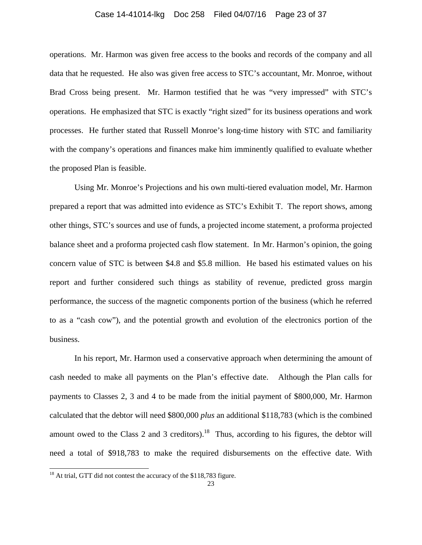#### Case 14-41014-lkg Doc 258 Filed 04/07/16 Page 23 of 37

operations. Mr. Harmon was given free access to the books and records of the company and all data that he requested. He also was given free access to STC's accountant, Mr. Monroe, without Brad Cross being present. Mr. Harmon testified that he was "very impressed" with STC's operations. He emphasized that STC is exactly "right sized" for its business operations and work processes. He further stated that Russell Monroe's long-time history with STC and familiarity with the company's operations and finances make him imminently qualified to evaluate whether the proposed Plan is feasible.

Using Mr. Monroe's Projections and his own multi-tiered evaluation model, Mr. Harmon prepared a report that was admitted into evidence as STC's Exhibit T. The report shows, among other things, STC's sources and use of funds, a projected income statement, a proforma projected balance sheet and a proforma projected cash flow statement. In Mr. Harmon's opinion, the going concern value of STC is between \$4.8 and \$5.8 million. He based his estimated values on his report and further considered such things as stability of revenue, predicted gross margin performance, the success of the magnetic components portion of the business (which he referred to as a "cash cow"), and the potential growth and evolution of the electronics portion of the business.

In his report, Mr. Harmon used a conservative approach when determining the amount of cash needed to make all payments on the Plan's effective date. Although the Plan calls for payments to Classes 2, 3 and 4 to be made from the initial payment of \$800,000, Mr. Harmon calculated that the debtor will need \$800,000 *plus* an additional \$118,783 (which is the combined amount owed to the Class 2 and 3 creditors).<sup>18</sup> Thus, according to his figures, the debtor will need a total of \$918,783 to make the required disbursements on the effective date. With

l

 $18$  At trial, GTT did not contest the accuracy of the \$118,783 figure.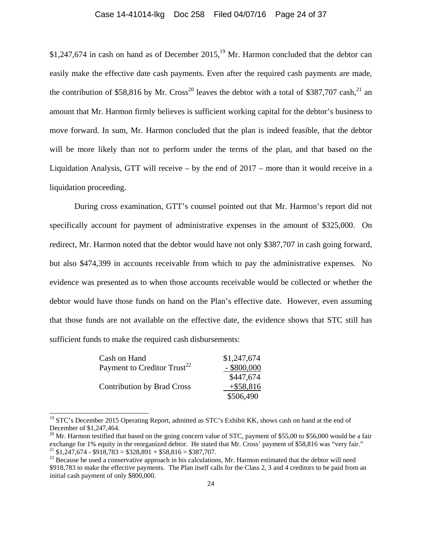## Case 14-41014-lkg Doc 258 Filed 04/07/16 Page 24 of 37

 $$1,247,674$  in cash on hand as of December 2015,<sup>19</sup> Mr. Harmon concluded that the debtor can easily make the effective date cash payments. Even after the required cash payments are made, the contribution of \$58,816 by Mr. Cross<sup>20</sup> leaves the debtor with a total of \$387,707 cash,<sup>21</sup> an amount that Mr. Harmon firmly believes is sufficient working capital for the debtor's business to move forward. In sum, Mr. Harmon concluded that the plan is indeed feasible, that the debtor will be more likely than not to perform under the terms of the plan, and that based on the Liquidation Analysis, GTT will receive – by the end of 2017 – more than it would receive in a liquidation proceeding.

 During cross examination, GTT's counsel pointed out that Mr. Harmon's report did not specifically account for payment of administrative expenses in the amount of \$325,000. On redirect, Mr. Harmon noted that the debtor would have not only \$387,707 in cash going forward, but also \$474,399 in accounts receivable from which to pay the administrative expenses. No evidence was presented as to when those accounts receivable would be collected or whether the debtor would have those funds on hand on the Plan's effective date. However, even assuming that those funds are not available on the effective date, the evidence shows that STC still has sufficient funds to make the required cash disbursements:

| Cash on Hand                            | \$1,247,674   |
|-----------------------------------------|---------------|
| Payment to Creditor Trust <sup>22</sup> | $-$ \$800,000 |
|                                         | \$447,674     |
| <b>Contribution by Brad Cross</b>       | $+$ \$58,816  |
|                                         | \$506,490     |

 $\overline{a}$ 

<sup>&</sup>lt;sup>19</sup> STC's December 2015 Operating Report, admitted as STC's Exhibit KK, shows cash on hand at the end of December of \$1,247,464.

 $^{20}$  Mr. Harmon testified that based on the going concern value of STC, payment of \$55,00 to \$56,000 would be a fair exchange for 1% equity in the reorganized debtor. He stated that Mr. Cross' payment of \$58,816 was "very fair." <sup>21</sup> \$1,247,674 - \$918,783 = \$328,891 + \$58,816 = \$387,707.

 $22$  Because he used a conservative approach in his calculations, Mr. Harmon estimated that the debtor will need \$918,783 to make the effective payments. The Plan itself calls for the Class 2, 3 and 4 creditors to be paid from an initial cash payment of only \$800,000.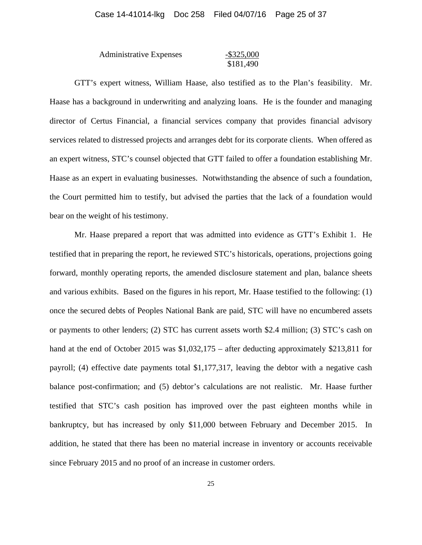| <b>Administrative Expenses</b> | $-$ \$325,000 |
|--------------------------------|---------------|
|                                | \$181,490     |

 GTT's expert witness, William Haase, also testified as to the Plan's feasibility. Mr. Haase has a background in underwriting and analyzing loans. He is the founder and managing director of Certus Financial, a financial services company that provides financial advisory services related to distressed projects and arranges debt for its corporate clients. When offered as an expert witness, STC's counsel objected that GTT failed to offer a foundation establishing Mr. Haase as an expert in evaluating businesses. Notwithstanding the absence of such a foundation, the Court permitted him to testify, but advised the parties that the lack of a foundation would bear on the weight of his testimony.

 Mr. Haase prepared a report that was admitted into evidence as GTT's Exhibit 1. He testified that in preparing the report, he reviewed STC's historicals, operations, projections going forward, monthly operating reports, the amended disclosure statement and plan, balance sheets and various exhibits. Based on the figures in his report, Mr. Haase testified to the following: (1) once the secured debts of Peoples National Bank are paid, STC will have no encumbered assets or payments to other lenders; (2) STC has current assets worth \$2.4 million; (3) STC's cash on hand at the end of October 2015 was \$1,032,175 – after deducting approximately \$213,811 for payroll; (4) effective date payments total \$1,177,317, leaving the debtor with a negative cash balance post-confirmation; and (5) debtor's calculations are not realistic. Mr. Haase further testified that STC's cash position has improved over the past eighteen months while in bankruptcy, but has increased by only \$11,000 between February and December 2015. In addition, he stated that there has been no material increase in inventory or accounts receivable since February 2015 and no proof of an increase in customer orders.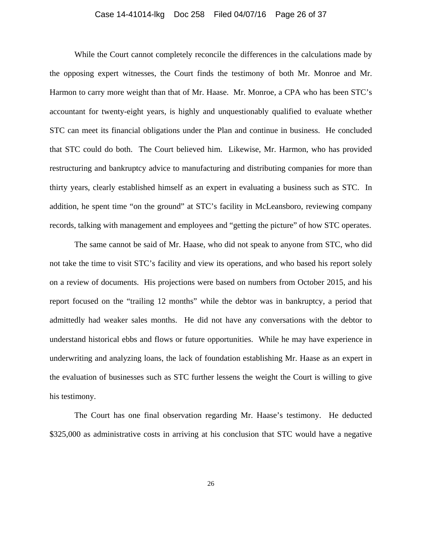#### Case 14-41014-lkg Doc 258 Filed 04/07/16 Page 26 of 37

 While the Court cannot completely reconcile the differences in the calculations made by the opposing expert witnesses, the Court finds the testimony of both Mr. Monroe and Mr. Harmon to carry more weight than that of Mr. Haase. Mr. Monroe, a CPA who has been STC's accountant for twenty-eight years, is highly and unquestionably qualified to evaluate whether STC can meet its financial obligations under the Plan and continue in business. He concluded that STC could do both. The Court believed him. Likewise, Mr. Harmon, who has provided restructuring and bankruptcy advice to manufacturing and distributing companies for more than thirty years, clearly established himself as an expert in evaluating a business such as STC. In addition, he spent time "on the ground" at STC's facility in McLeansboro, reviewing company records, talking with management and employees and "getting the picture" of how STC operates.

The same cannot be said of Mr. Haase, who did not speak to anyone from STC, who did not take the time to visit STC's facility and view its operations, and who based his report solely on a review of documents. His projections were based on numbers from October 2015, and his report focused on the "trailing 12 months" while the debtor was in bankruptcy, a period that admittedly had weaker sales months. He did not have any conversations with the debtor to understand historical ebbs and flows or future opportunities. While he may have experience in underwriting and analyzing loans, the lack of foundation establishing Mr. Haase as an expert in the evaluation of businesses such as STC further lessens the weight the Court is willing to give his testimony.

The Court has one final observation regarding Mr. Haase's testimony. He deducted \$325,000 as administrative costs in arriving at his conclusion that STC would have a negative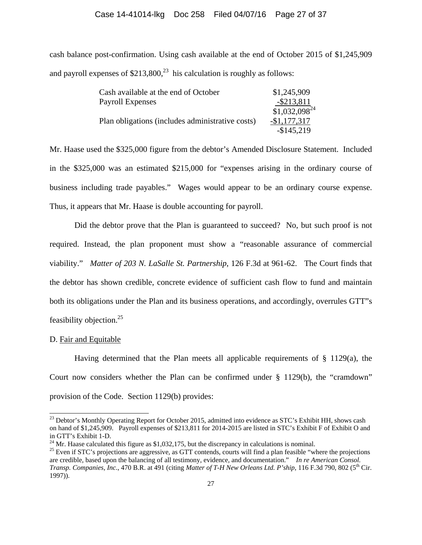#### Case 14-41014-lkg Doc 258 Filed 04/07/16 Page 27 of 37

cash balance post-confirmation. Using cash available at the end of October 2015 of \$1,245,909 and payroll expenses of  $$213,800<sup>23</sup>$  his calculation is roughly as follows:

| Cash available at the end of October             | \$1,245,909       |
|--------------------------------------------------|-------------------|
| <b>Payroll Expenses</b>                          | $-$ \$213,811     |
|                                                  | $$1,032,098^{24}$ |
| Plan obligations (includes administrative costs) | $-$1,177,317$     |
|                                                  | $-$145,219$       |

Mr. Haase used the \$325,000 figure from the debtor's Amended Disclosure Statement. Included in the \$325,000 was an estimated \$215,000 for "expenses arising in the ordinary course of business including trade payables." Wages would appear to be an ordinary course expense. Thus, it appears that Mr. Haase is double accounting for payroll.

 Did the debtor prove that the Plan is guaranteed to succeed? No, but such proof is not required. Instead, the plan proponent must show a "reasonable assurance of commercial viability." *Matter of 203 N. LaSalle St. Partnership*, 126 F.3d at 961-62. The Court finds that the debtor has shown credible, concrete evidence of sufficient cash flow to fund and maintain both its obligations under the Plan and its business operations, and accordingly, overrules GTT"s feasibility objection. $25$ 

#### D. Fair and Equitable

 $\overline{a}$ 

Having determined that the Plan meets all applicable requirements of  $\S$  1129(a), the Court now considers whether the Plan can be confirmed under  $\S$  1129(b), the "cramdown" provision of the Code. Section 1129(b) provides:

<sup>&</sup>lt;sup>23</sup> Debtor's Monthly Operating Report for October 2015, admitted into evidence as STC's Exhibit HH, shows cash on hand of \$1,245,909. Payroll expenses of \$213,811 for 2014-2015 are listed in STC's Exhibit F of Exhibit O and in GTT's Exhibit 1-D.

<sup>&</sup>lt;sup>24</sup> Mr. Haase calculated this figure as \$1,032,175, but the discrepancy in calculations is nominal.

<sup>&</sup>lt;sup>25</sup> Even if STC's projections are aggressive, as GTT contends, courts will find a plan feasible "where the projections are credible, based upon the balancing of all testimony, evidence, and documentation." *In re American Consol. Transp. Companies, Inc.*, 470 B.R. at 491 (citing *Matter of T-H New Orleans Ltd. P'ship*, 116 F.3d 790, 802 (5th Cir. 1997)).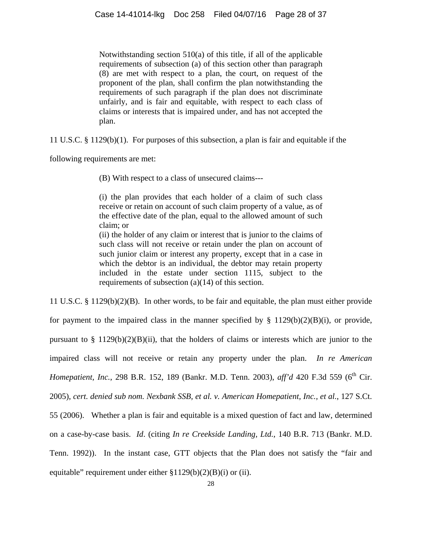Notwithstanding section 510(a) of this title, if all of the applicable requirements of subsection (a) of this section other than paragraph (8) are met with respect to a plan, the court, on request of the proponent of the plan, shall confirm the plan notwithstanding the requirements of such paragraph if the plan does not discriminate unfairly, and is fair and equitable, with respect to each class of claims or interests that is impaired under, and has not accepted the plan.

11 U.S.C. § 1129(b)(1). For purposes of this subsection, a plan is fair and equitable if the

following requirements are met:

(B) With respect to a class of unsecured claims---

(i) the plan provides that each holder of a claim of such class receive or retain on account of such claim property of a value, as of the effective date of the plan, equal to the allowed amount of such claim; or

(ii) the holder of any claim or interest that is junior to the claims of such class will not receive or retain under the plan on account of such junior claim or interest any property, except that in a case in which the debtor is an individual, the debtor may retain property included in the estate under section 1115, subject to the requirements of subsection (a)(14) of this section.

11 U.S.C. § 1129(b)(2)(B). In other words, to be fair and equitable, the plan must either provide for payment to the impaired class in the manner specified by  $\S$  1129(b)(2)(B)(i), or provide, pursuant to  $\S 1129(b)(2)(B)(ii)$ , that the holders of claims or interests which are junior to the impaired class will not receive or retain any property under the plan. *In re American Homepatient, Inc., 298 B.R. 152, 189 (Bankr. M.D. Tenn. 2003), aff'd 420 F.3d 559 (6<sup>th</sup> Cir.* 2005), *cert. denied sub nom. Nexbank SSB, et al. v. American Homepatient, Inc., et al.*, 127 S.Ct. 55 (2006). Whether a plan is fair and equitable is a mixed question of fact and law, determined on a case-by-case basis. *Id*. (citing *In re Creekside Landing, Ltd.*, 140 B.R. 713 (Bankr. M.D. Tenn. 1992)). In the instant case, GTT objects that the Plan does not satisfy the "fair and equitable" requirement under either §1129(b)(2)(B)(i) or (ii).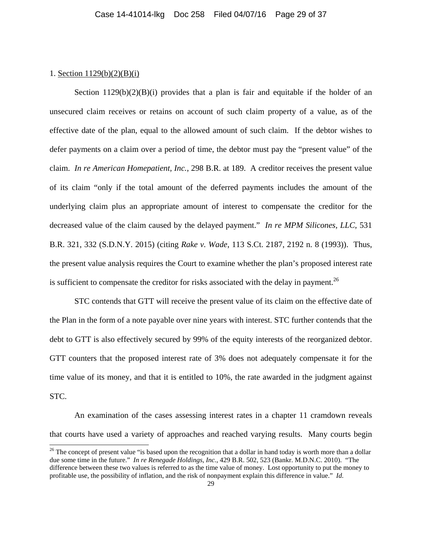## 1. Section 1129(b)(2)(B)(i)

l

Section  $1129(b)(2)(B)(i)$  provides that a plan is fair and equitable if the holder of an unsecured claim receives or retains on account of such claim property of a value, as of the effective date of the plan, equal to the allowed amount of such claim. If the debtor wishes to defer payments on a claim over a period of time, the debtor must pay the "present value" of the claim. *In re American Homepatient, Inc.*, 298 B.R. at 189. A creditor receives the present value of its claim "only if the total amount of the deferred payments includes the amount of the underlying claim plus an appropriate amount of interest to compensate the creditor for the decreased value of the claim caused by the delayed payment." *In re MPM Silicones, LLC*, 531 B.R. 321, 332 (S.D.N.Y. 2015) (citing *Rake v. Wade*, 113 S.Ct. 2187, 2192 n. 8 (1993)). Thus, the present value analysis requires the Court to examine whether the plan's proposed interest rate is sufficient to compensate the creditor for risks associated with the delay in payment.<sup>26</sup>

STC contends that GTT will receive the present value of its claim on the effective date of the Plan in the form of a note payable over nine years with interest. STC further contends that the debt to GTT is also effectively secured by 99% of the equity interests of the reorganized debtor. GTT counters that the proposed interest rate of 3% does not adequately compensate it for the time value of its money, and that it is entitled to 10%, the rate awarded in the judgment against STC.

 An examination of the cases assessing interest rates in a chapter 11 cramdown reveals that courts have used a variety of approaches and reached varying results. Many courts begin

 $26$  The concept of present value "is based upon the recognition that a dollar in hand today is worth more than a dollar due some time in the future." *In re Renegade Holdings, Inc.*, 429 B.R. 502, 523 (Bankr. M.D.N.C. 2010). "The difference between these two values is referred to as the time value of money. Lost opportunity to put the money to profitable use, the possibility of inflation, and the risk of nonpayment explain this difference in value." *Id*.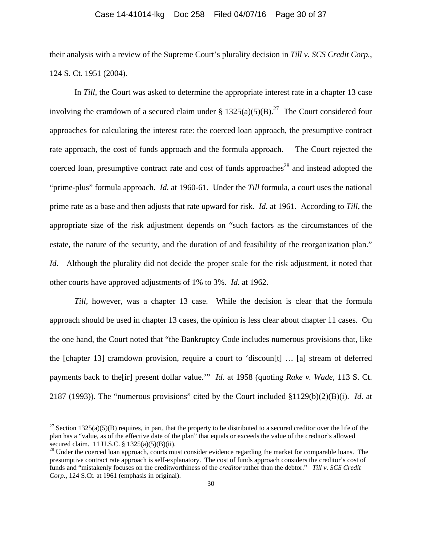## Case 14-41014-lkg Doc 258 Filed 04/07/16 Page 30 of 37

their analysis with a review of the Supreme Court's plurality decision in *Till v. SCS Credit Corp.*, 124 S. Ct. 1951 (2004).

 In *Till*, the Court was asked to determine the appropriate interest rate in a chapter 13 case involving the cramdown of a secured claim under §  $1325(a)(5)(B)$ .<sup>27</sup> The Court considered four approaches for calculating the interest rate: the coerced loan approach, the presumptive contract rate approach, the cost of funds approach and the formula approach. The Court rejected the coerced loan, presumptive contract rate and cost of funds approaches<sup>28</sup> and instead adopted the "prime-plus" formula approach. *Id*. at 1960-61. Under the *Till* formula, a court uses the national prime rate as a base and then adjusts that rate upward for risk. *Id*. at 1961. According to *Till*, the appropriate size of the risk adjustment depends on "such factors as the circumstances of the estate, the nature of the security, and the duration of and feasibility of the reorganization plan." *Id.* Although the plurality did not decide the proper scale for the risk adjustment, it noted that other courts have approved adjustments of 1% to 3%. *Id*. at 1962.

*Till*, however, was a chapter 13 case. While the decision is clear that the formula approach should be used in chapter 13 cases, the opinion is less clear about chapter 11 cases. On the one hand, the Court noted that "the Bankruptcy Code includes numerous provisions that, like the [chapter 13] cramdown provision, require a court to 'discoun[t] … [a] stream of deferred payments back to the[ir] present dollar value.'" *Id*. at 1958 (quoting *Rake v. Wade*, 113 S. Ct. 2187 (1993)). The "numerous provisions" cited by the Court included §1129(b)(2)(B)(i). *Id*. at

l

<sup>&</sup>lt;sup>27</sup> Section 1325(a)(5)(B) requires, in part, that the property to be distributed to a secured creditor over the life of the plan has a "value, as of the effective date of the plan" that equals or exceeds the value of the creditor's allowed secured claim. 11 U.S.C. § 1325(a)(5)(B)(ii).<br><sup>28</sup> Under the coerced loan approach, courts must consider evidence regarding the market for comparable loans. The

presumptive contract rate approach is self-explanatory. The cost of funds approach considers the creditor's cost of funds and "mistakenly focuses on the creditworthiness of the *creditor* rather than the debtor." *Till v. SCS Credit Corp.*, 124 S.Ct. at 1961 (emphasis in original).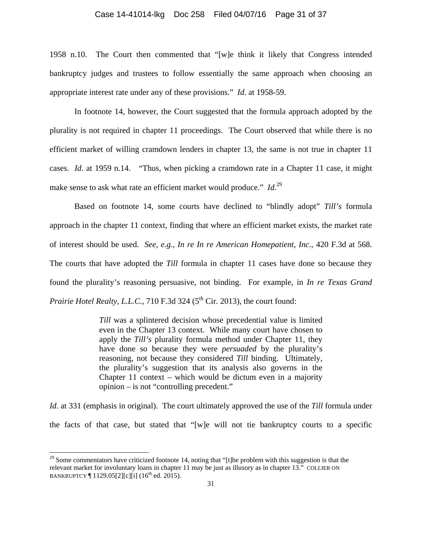#### Case 14-41014-lkg Doc 258 Filed 04/07/16 Page 31 of 37

1958 n.10. The Court then commented that "[w]e think it likely that Congress intended bankruptcy judges and trustees to follow essentially the same approach when choosing an appropriate interest rate under any of these provisions." *Id*. at 1958-59.

 In footnote 14, however, the Court suggested that the formula approach adopted by the plurality is not required in chapter 11 proceedings. The Court observed that while there is no efficient market of willing cramdown lenders in chapter 13, the same is not true in chapter 11 cases. *Id*. at 1959 n.14. "Thus, when picking a cramdown rate in a Chapter 11 case, it might make sense to ask what rate an efficient market would produce." *Id*.<sup>29</sup>

Based on footnote 14, some courts have declined to "blindly adopt" *Till's* formula approach in the chapter 11 context, finding that where an efficient market exists, the market rate of interest should be used. *See, e.g., In re In re American Homepatient, Inc.*, 420 F.3d at 568. The courts that have adopted the *Till* formula in chapter 11 cases have done so because they found the plurality's reasoning persuasive, not binding. For example, in *In re Texas Grand Prairie Hotel Realty, L.L.C.*,  $710$  F.3d  $324$  ( $5<sup>th</sup>$  Cir. 2013), the court found:

> *Till* was a splintered decision whose precedential value is limited even in the Chapter 13 context. While many court have chosen to apply the *Till's* plurality formula method under Chapter 11, they have done so because they were *persuaded* by the plurality's reasoning, not because they considered *Till* binding. Ultimately, the plurality's suggestion that its analysis also governs in the Chapter 11 context – which would be dictum even in a majority opinion – is not "controlling precedent."

*Id*. at 331 (emphasis in original). The court ultimately approved the use of the *Till* formula under the facts of that case, but stated that "[w]e will not tie bankruptcy courts to a specific

 $\overline{a}$ 

 $29$  Some commentators have criticized footnote 14, noting that "[t]he problem with this suggestion is that the relevant market for involuntary loans in chapter 11 may be just as illusory as in chapter 13." COLLIER ON BANKRUPTCY  $\P$  1129.05[2][c][i] (16<sup>th</sup> ed. 2015).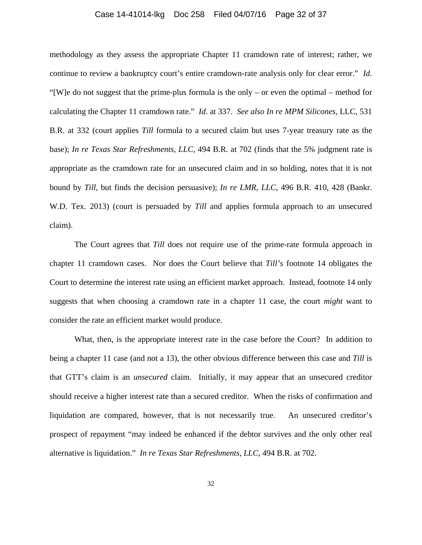## Case 14-41014-lkg Doc 258 Filed 04/07/16 Page 32 of 37

methodology as they assess the appropriate Chapter 11 cramdown rate of interest; rather, we continue to review a bankruptcy court's entire cramdown-rate analysis only for clear error." *Id*. "[W]e do not suggest that the prime-plus formula is the only – or even the optimal – method for calculating the Chapter 11 cramdown rate." *Id*. at 337. *See also In re MPM Silicones,* LLC, 531 B.R. at 332 (court applies *Till* formula to a secured claim but uses 7-year treasury rate as the base); *In re Texas Star Refreshments, LLC*, 494 B.R. at 702 (finds that the 5% judgment rate is appropriate as the cramdown rate for an unsecured claim and in so holding, notes that it is not bound by *Till*, but finds the decision persuasive); *In re LMR, LLC*, 496 B.R. 410, 428 (Bankr. W.D. Tex. 2013) (court is persuaded by *Till* and applies formula approach to an unsecured claim).

 The Court agrees that *Till* does not require use of the prime-rate formula approach in chapter 11 cramdown cases. Nor does the Court believe that *Till's* footnote 14 obligates the Court to determine the interest rate using an efficient market approach. Instead, footnote 14 only suggests that when choosing a cramdown rate in a chapter 11 case, the court *might* want to consider the rate an efficient market would produce.

 What, then, is the appropriate interest rate in the case before the Court? In addition to being a chapter 11 case (and not a 13), the other obvious difference between this case and *Till* is that GTT's claim is an *unsecured* claim. Initially, it may appear that an unsecured creditor should receive a higher interest rate than a secured creditor. When the risks of confirmation and liquidation are compared, however, that is not necessarily true. An unsecured creditor's prospect of repayment "may indeed be enhanced if the debtor survives and the only other real alternative is liquidation." *In re Texas Star Refreshments, LLC*, 494 B.R. at 702.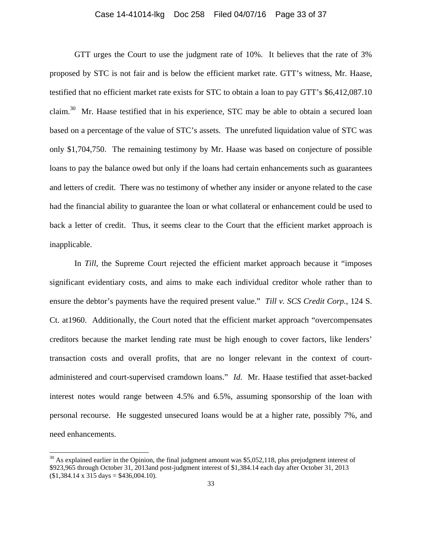## Case 14-41014-lkg Doc 258 Filed 04/07/16 Page 33 of 37

 GTT urges the Court to use the judgment rate of 10%. It believes that the rate of 3% proposed by STC is not fair and is below the efficient market rate. GTT's witness, Mr. Haase, testified that no efficient market rate exists for STC to obtain a loan to pay GTT's \$6,412,087.10 claim.<sup>30</sup> Mr. Haase testified that in his experience, STC may be able to obtain a secured loan based on a percentage of the value of STC's assets. The unrefuted liquidation value of STC was only \$1,704,750. The remaining testimony by Mr. Haase was based on conjecture of possible loans to pay the balance owed but only if the loans had certain enhancements such as guarantees and letters of credit. There was no testimony of whether any insider or anyone related to the case had the financial ability to guarantee the loan or what collateral or enhancement could be used to back a letter of credit. Thus, it seems clear to the Court that the efficient market approach is inapplicable.

In *Till*, the Supreme Court rejected the efficient market approach because it "imposes" significant evidentiary costs, and aims to make each individual creditor whole rather than to ensure the debtor's payments have the required present value." *Till v. SCS Credit Corp.*, 124 S. Ct. at1960. Additionally, the Court noted that the efficient market approach "overcompensates creditors because the market lending rate must be high enough to cover factors, like lenders' transaction costs and overall profits, that are no longer relevant in the context of courtadministered and court-supervised cramdown loans." *Id*. Mr. Haase testified that asset-backed interest notes would range between 4.5% and 6.5%, assuming sponsorship of the loan with personal recourse. He suggested unsecured loans would be at a higher rate, possibly 7%, and need enhancements.

 $\overline{a}$ 

 $30$  As explained earlier in the Opinion, the final judgment amount was \$5,052,118, plus prejudgment interest of \$923,965 through October 31, 2013and post-judgment interest of \$1,384.14 each day after October 31, 2013  $$1,384.14 \times 315 \text{ days} = $436,004.10$ .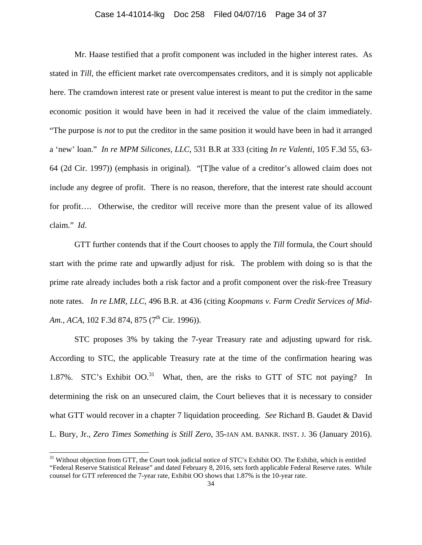#### Case 14-41014-lkg Doc 258 Filed 04/07/16 Page 34 of 37

 Mr. Haase testified that a profit component was included in the higher interest rates. As stated in *Till*, the efficient market rate overcompensates creditors, and it is simply not applicable here. The cramdown interest rate or present value interest is meant to put the creditor in the same economic position it would have been in had it received the value of the claim immediately. "The purpose is *not* to put the creditor in the same position it would have been in had it arranged a 'new' loan." *In re MPM Silicones, LLC*, 531 B.R at 333 (citing *In re Valenti*, 105 F.3d 55, 63- 64 (2d Cir. 1997)) (emphasis in original). "[T]he value of a creditor's allowed claim does not include any degree of profit. There is no reason, therefore, that the interest rate should account for profit…. Otherwise, the creditor will receive more than the present value of its allowed claim." *Id*.

GTT further contends that if the Court chooses to apply the *Till* formula, the Court should start with the prime rate and upwardly adjust for risk. The problem with doing so is that the prime rate already includes both a risk factor and a profit component over the risk-free Treasury note rates. *In re LMR, LLC*, 496 B.R. at 436 (citing *Koopmans v. Farm Credit Services of Mid-Am., ACA, 102 F.3d 874, 875 (7<sup>th</sup> Cir. 1996)).* 

 STC proposes 3% by taking the 7-year Treasury rate and adjusting upward for risk. According to STC, the applicable Treasury rate at the time of the confirmation hearing was 1.87%. STC's Exhibit  $OO^{31}$ . What, then, are the risks to GTT of STC not paying? In determining the risk on an unsecured claim, the Court believes that it is necessary to consider what GTT would recover in a chapter 7 liquidation proceeding. *See* Richard B. Gaudet & David L. Bury, Jr., *Zero Times Something is Still Zero*, 35-JAN AM. BANKR. INST. J. 36 (January 2016).

 $\overline{a}$ 

<sup>&</sup>lt;sup>31</sup> Without objection from GTT, the Court took judicial notice of STC's Exhibit OO. The Exhibit, which is entitled "Federal Reserve Statistical Release" and dated February 8, 2016, sets forth applicable Federal Reserve rates. While counsel for GTT referenced the 7-year rate, Exhibit OO shows that 1.87% is the 10-year rate.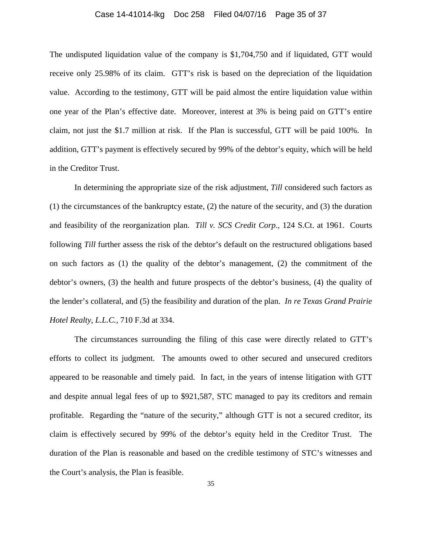#### Case 14-41014-lkg Doc 258 Filed 04/07/16 Page 35 of 37

The undisputed liquidation value of the company is \$1,704,750 and if liquidated, GTT would receive only 25.98% of its claim. GTT's risk is based on the depreciation of the liquidation value. According to the testimony, GTT will be paid almost the entire liquidation value within one year of the Plan's effective date. Moreover, interest at 3% is being paid on GTT's entire claim, not just the \$1.7 million at risk. If the Plan is successful, GTT will be paid 100%. In addition, GTT's payment is effectively secured by 99% of the debtor's equity, which will be held in the Creditor Trust.

In determining the appropriate size of the risk adjustment, *Till* considered such factors as (1) the circumstances of the bankruptcy estate, (2) the nature of the security, and (3) the duration and feasibility of the reorganization plan. *Till v. SCS Credit Corp.*, 124 S.Ct. at 1961. Courts following *Till* further assess the risk of the debtor's default on the restructured obligations based on such factors as (1) the quality of the debtor's management, (2) the commitment of the debtor's owners, (3) the health and future prospects of the debtor's business, (4) the quality of the lender's collateral, and (5) the feasibility and duration of the plan. *In re Texas Grand Prairie Hotel Realty, L.L.C.*, 710 F.3d at 334.

The circumstances surrounding the filing of this case were directly related to GTT's efforts to collect its judgment. The amounts owed to other secured and unsecured creditors appeared to be reasonable and timely paid. In fact, in the years of intense litigation with GTT and despite annual legal fees of up to \$921,587, STC managed to pay its creditors and remain profitable. Regarding the "nature of the security," although GTT is not a secured creditor, its claim is effectively secured by 99% of the debtor's equity held in the Creditor Trust. The duration of the Plan is reasonable and based on the credible testimony of STC's witnesses and the Court's analysis, the Plan is feasible.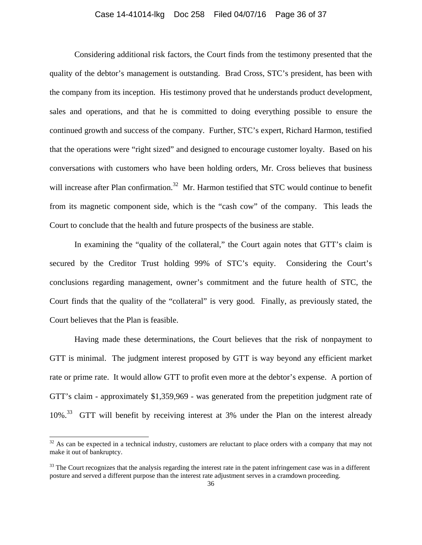## Case 14-41014-lkg Doc 258 Filed 04/07/16 Page 36 of 37

Considering additional risk factors, the Court finds from the testimony presented that the quality of the debtor's management is outstanding. Brad Cross, STC's president, has been with the company from its inception. His testimony proved that he understands product development, sales and operations, and that he is committed to doing everything possible to ensure the continued growth and success of the company. Further, STC's expert, Richard Harmon, testified that the operations were "right sized" and designed to encourage customer loyalty. Based on his conversations with customers who have been holding orders, Mr. Cross believes that business will increase after Plan confirmation.<sup>32</sup> Mr. Harmon testified that STC would continue to benefit from its magnetic component side, which is the "cash cow" of the company. This leads the Court to conclude that the health and future prospects of the business are stable.

In examining the "quality of the collateral," the Court again notes that GTT's claim is secured by the Creditor Trust holding 99% of STC's equity. Considering the Court's conclusions regarding management, owner's commitment and the future health of STC, the Court finds that the quality of the "collateral" is very good. Finally, as previously stated, the Court believes that the Plan is feasible.

Having made these determinations, the Court believes that the risk of nonpayment to GTT is minimal. The judgment interest proposed by GTT is way beyond any efficient market rate or prime rate. It would allow GTT to profit even more at the debtor's expense. A portion of GTT's claim - approximately \$1,359,969 - was generated from the prepetition judgment rate of 10%<sup>33</sup> GTT will benefit by receiving interest at 3% under the Plan on the interest already

 $\overline{a}$ 

 $32$  As can be expected in a technical industry, customers are reluctant to place orders with a company that may not make it out of bankruptcy.

 $33$  The Court recognizes that the analysis regarding the interest rate in the patent infringement case was in a different posture and served a different purpose than the interest rate adjustment serves in a cramdown proceeding.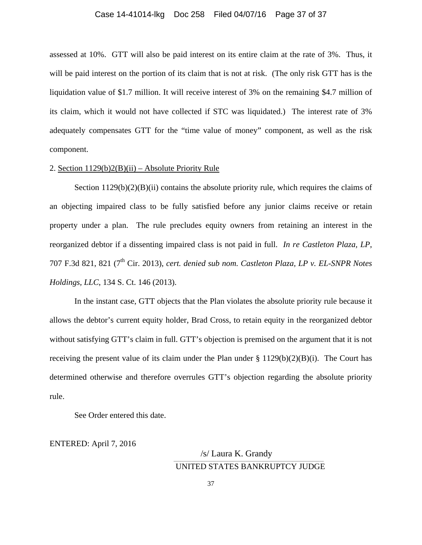#### Case 14-41014-lkg Doc 258 Filed 04/07/16 Page 37 of 37

assessed at 10%. GTT will also be paid interest on its entire claim at the rate of 3%. Thus, it will be paid interest on the portion of its claim that is not at risk. (The only risk GTT has is the liquidation value of \$1.7 million. It will receive interest of 3% on the remaining \$4.7 million of its claim, which it would not have collected if STC was liquidated.) The interest rate of 3% adequately compensates GTT for the "time value of money" component, as well as the risk component.

#### 2. Section 1129(b)2(B)(ii) – Absolute Priority Rule

Section  $1129(b)(2)(B)(ii)$  contains the absolute priority rule, which requires the claims of an objecting impaired class to be fully satisfied before any junior claims receive or retain property under a plan. The rule precludes equity owners from retaining an interest in the reorganized debtor if a dissenting impaired class is not paid in full. *In re Castleton Plaza, LP*, 707 F.3d 821, 821 (7<sup>th</sup> Cir. 2013), *cert. denied sub nom. Castleton Plaza, LP v. EL-SNPR Notes Holdings, LLC*, 134 S. Ct. 146 (2013).

In the instant case, GTT objects that the Plan violates the absolute priority rule because it allows the debtor's current equity holder, Brad Cross, to retain equity in the reorganized debtor without satisfying GTT's claim in full. GTT's objection is premised on the argument that it is not receiving the present value of its claim under the Plan under  $\S 1129(b)(2)(B)(i)$ . The Court has determined otherwise and therefore overrules GTT's objection regarding the absolute priority rule.

See Order entered this date.

ENTERED: April 7, 2016

#### /s/ Laura K. Grandy **\_\_\_\_\_\_\_\_\_\_\_\_\_\_\_\_\_\_\_\_\_\_\_\_\_\_\_\_\_\_\_\_\_\_\_\_\_\_\_\_\_\_\_\_\_\_\_\_\_\_\_\_\_\_\_\_\_\_\_\_\_\_\_\_\_\_\_\_\_\_\_\_\_\_\_\_\_\_\_\_\_\_\_\_\_\_\_\_\_\_\_\_\_\_\_\_\_\_\_\_\_\_\_\_\_\_\_\_\_** UNITED STATES BANKRUPTCY JUDGE